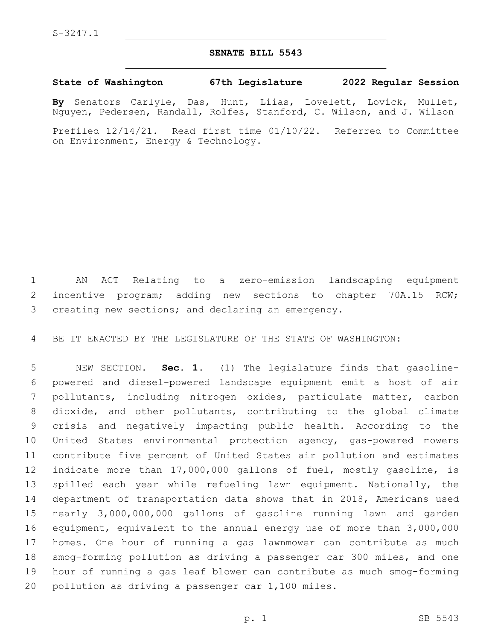## **SENATE BILL 5543**

## **State of Washington 67th Legislature 2022 Regular Session**

**By** Senators Carlyle, Das, Hunt, Liias, Lovelett, Lovick, Mullet, Nguyen, Pedersen, Randall, Rolfes, Stanford, C. Wilson, and J. Wilson

Prefiled 12/14/21. Read first time 01/10/22. Referred to Committee on Environment, Energy & Technology.

 AN ACT Relating to a zero-emission landscaping equipment incentive program; adding new sections to chapter 70A.15 RCW; 3 creating new sections; and declaring an emergency.

BE IT ENACTED BY THE LEGISLATURE OF THE STATE OF WASHINGTON:

 NEW SECTION. **Sec. 1.** (1) The legislature finds that gasoline- powered and diesel-powered landscape equipment emit a host of air pollutants, including nitrogen oxides, particulate matter, carbon dioxide, and other pollutants, contributing to the global climate crisis and negatively impacting public health. According to the United States environmental protection agency, gas-powered mowers contribute five percent of United States air pollution and estimates indicate more than 17,000,000 gallons of fuel, mostly gasoline, is spilled each year while refueling lawn equipment. Nationally, the department of transportation data shows that in 2018, Americans used nearly 3,000,000,000 gallons of gasoline running lawn and garden equipment, equivalent to the annual energy use of more than 3,000,000 homes. One hour of running a gas lawnmower can contribute as much smog-forming pollution as driving a passenger car 300 miles, and one hour of running a gas leaf blower can contribute as much smog-forming pollution as driving a passenger car 1,100 miles.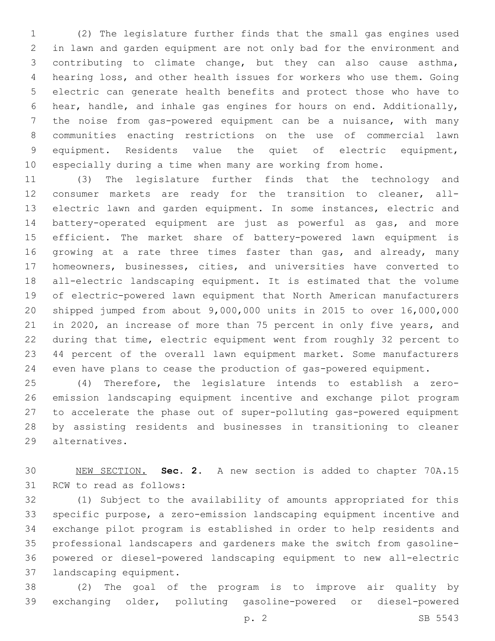(2) The legislature further finds that the small gas engines used in lawn and garden equipment are not only bad for the environment and contributing to climate change, but they can also cause asthma, hearing loss, and other health issues for workers who use them. Going electric can generate health benefits and protect those who have to hear, handle, and inhale gas engines for hours on end. Additionally, the noise from gas-powered equipment can be a nuisance, with many communities enacting restrictions on the use of commercial lawn equipment. Residents value the quiet of electric equipment, especially during a time when many are working from home.

 (3) The legislature further finds that the technology and consumer markets are ready for the transition to cleaner, all- electric lawn and garden equipment. In some instances, electric and battery-operated equipment are just as powerful as gas, and more efficient. The market share of battery-powered lawn equipment is 16 growing at a rate three times faster than gas, and already, many homeowners, businesses, cities, and universities have converted to all-electric landscaping equipment. It is estimated that the volume of electric-powered lawn equipment that North American manufacturers shipped jumped from about 9,000,000 units in 2015 to over 16,000,000 in 2020, an increase of more than 75 percent in only five years, and during that time, electric equipment went from roughly 32 percent to 44 percent of the overall lawn equipment market. Some manufacturers even have plans to cease the production of gas-powered equipment.

 (4) Therefore, the legislature intends to establish a zero- emission landscaping equipment incentive and exchange pilot program to accelerate the phase out of super-polluting gas-powered equipment by assisting residents and businesses in transitioning to cleaner alternatives.29

 NEW SECTION. **Sec. 2.** A new section is added to chapter 70A.15 31 RCW to read as follows:

 (1) Subject to the availability of amounts appropriated for this specific purpose, a zero-emission landscaping equipment incentive and exchange pilot program is established in order to help residents and professional landscapers and gardeners make the switch from gasoline- powered or diesel-powered landscaping equipment to new all-electric 37 landscaping equipment.

 (2) The goal of the program is to improve air quality by exchanging older, polluting gasoline-powered or diesel-powered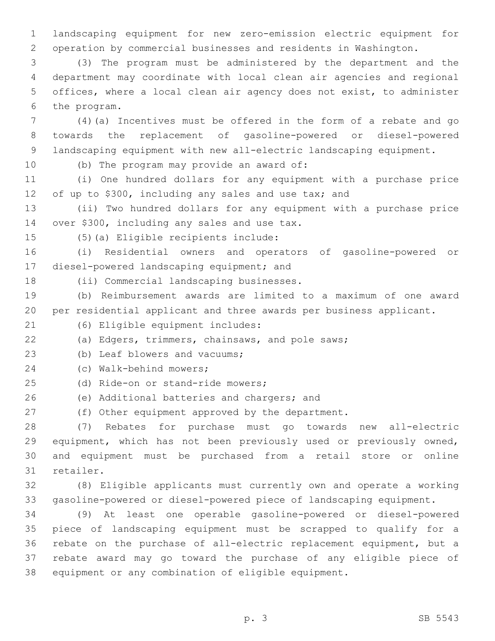landscaping equipment for new zero-emission electric equipment for operation by commercial businesses and residents in Washington.

 (3) The program must be administered by the department and the department may coordinate with local clean air agencies and regional offices, where a local clean air agency does not exist, to administer 6 the program.

 (4)(a) Incentives must be offered in the form of a rebate and go towards the replacement of gasoline-powered or diesel-powered landscaping equipment with new all-electric landscaping equipment.

10 (b) The program may provide an award of:

 (i) One hundred dollars for any equipment with a purchase price of up to \$300, including any sales and use tax; and

 (ii) Two hundred dollars for any equipment with a purchase price 14 over \$300, including any sales and use tax.

15 (5)(a) Eligible recipients include:

 (i) Residential owners and operators of gasoline-powered or 17 diesel-powered landscaping equipment; and

18 (ii) Commercial landscaping businesses.

 (b) Reimbursement awards are limited to a maximum of one award per residential applicant and three awards per business applicant.

(6) Eligible equipment includes:21

(a) Edgers, trimmers, chainsaws, and pole saws;

23 (b) Leaf blowers and vacuums;

(c) Walk-behind mowers;24

25 (d) Ride-on or stand-ride mowers;

26 (e) Additional batteries and chargers; and

(f) Other equipment approved by the department.

 (7) Rebates for purchase must go towards new all-electric equipment, which has not been previously used or previously owned, and equipment must be purchased from a retail store or online 31 retailer.

 (8) Eligible applicants must currently own and operate a working gasoline-powered or diesel-powered piece of landscaping equipment.

 (9) At least one operable gasoline-powered or diesel-powered piece of landscaping equipment must be scrapped to qualify for a rebate on the purchase of all-electric replacement equipment, but a rebate award may go toward the purchase of any eligible piece of equipment or any combination of eligible equipment.